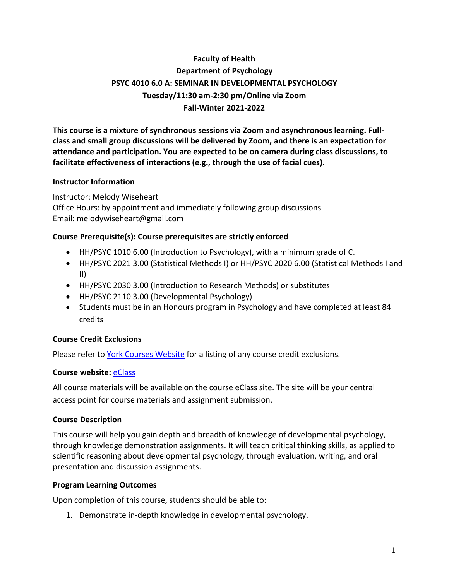# **Faculty of Health Department of Psychology PSYC 4010 6.0 A: SEMINAR IN DEVELOPMENTAL PSYCHOLOGY Tuesday/11:30 am-2:30 pm/Online via Zoom Fall-Winter 2021-2022**

**This course is a mixture of synchronous sessions via Zoom and asynchronous learning. Fullclass and small group discussions will be delivered by Zoom, and there is an expectation for attendance and participation. You are expected to be on camera during class discussions, to facilitate effectiveness of interactions (e.g., through the use of facial cues).**

### **Instructor Information**

Instructor: Melody Wiseheart Office Hours: by appointment and immediately following group discussions Email: melodywiseheart@gmail.com

### **Course Prerequisite(s): Course prerequisites are strictly enforced**

- HH/PSYC 1010 6.00 (Introduction to Psychology), with a minimum grade of C.
- HH/PSYC 2021 3.00 (Statistical Methods I) or HH/PSYC 2020 6.00 (Statistical Methods I and II)
- HH/PSYC 2030 3.00 (Introduction to Research Methods) or substitutes
- HH/PSYC 2110 3.00 (Developmental Psychology)
- Students must be in an Honours program in Psychology and have completed at least 84 credits

### **Course Credit Exclusions**

Please refer to York Courses Website for a listing of any course credit exclusions.

### **Course website:** eClass

All course materials will be available on the course eClass site. The site will be your central access point for course materials and assignment submission.

### **Course Description**

This course will help you gain depth and breadth of knowledge of developmental psychology, through knowledge demonstration assignments. It will teach critical thinking skills, as applied to scientific reasoning about developmental psychology, through evaluation, writing, and oral presentation and discussion assignments.

### **Program Learning Outcomes**

Upon completion of this course, students should be able to:

1. Demonstrate in-depth knowledge in developmental psychology.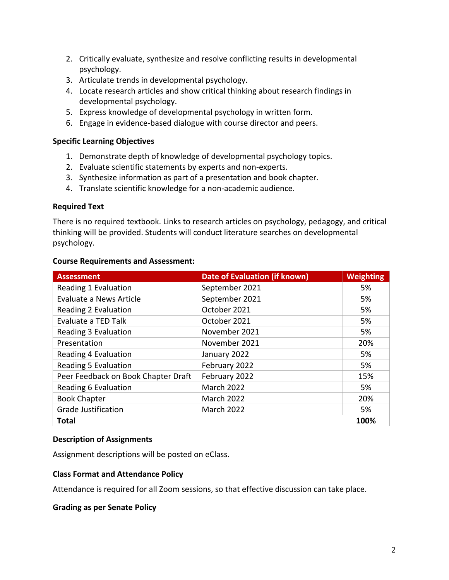- 2. Critically evaluate, synthesize and resolve conflicting results in developmental psychology.
- 3. Articulate trends in developmental psychology.
- 4. Locate research articles and show critical thinking about research findings in developmental psychology.
- 5. Express knowledge of developmental psychology in written form.
- 6. Engage in evidence-based dialogue with course director and peers.

### **Specific Learning Objectives**

- 1. Demonstrate depth of knowledge of developmental psychology topics.
- 2. Evaluate scientific statements by experts and non-experts.
- 3. Synthesize information as part of a presentation and book chapter.
- 4. Translate scientific knowledge for a non-academic audience.

#### **Required Text**

There is no required textbook. Links to research articles on psychology, pedagogy, and critical thinking will be provided. Students will conduct literature searches on developmental psychology.

|  | <b>Course Requirements and Assessment:</b> |  |  |
|--|--------------------------------------------|--|--|
|--|--------------------------------------------|--|--|

| <b>Assessment</b>                   | <b>Date of Evaluation (if known)</b> | <b>Weighting</b> |  |
|-------------------------------------|--------------------------------------|------------------|--|
| Reading 1 Evaluation                | September 2021                       | 5%               |  |
| Evaluate a News Article             | September 2021                       | 5%               |  |
| Reading 2 Evaluation                | October 2021                         | 5%               |  |
| Evaluate a TED Talk                 | October 2021                         | 5%               |  |
| Reading 3 Evaluation                | November 2021                        | 5%               |  |
| Presentation                        | November 2021                        | 20%              |  |
| Reading 4 Evaluation                | January 2022                         | 5%               |  |
| <b>Reading 5 Evaluation</b>         | February 2022                        | 5%               |  |
| Peer Feedback on Book Chapter Draft | February 2022                        | 15%              |  |
| Reading 6 Evaluation                | <b>March 2022</b>                    | 5%               |  |
| <b>Book Chapter</b>                 | <b>March 2022</b>                    | 20%              |  |
| <b>Grade Justification</b>          | <b>March 2022</b>                    | 5%               |  |
| <b>Total</b>                        |                                      |                  |  |

### **Description of Assignments**

Assignment descriptions will be posted on eClass.

### **Class Format and Attendance Policy**

Attendance is required for all Zoom sessions, so that effective discussion can take place.

**Grading as per Senate Policy**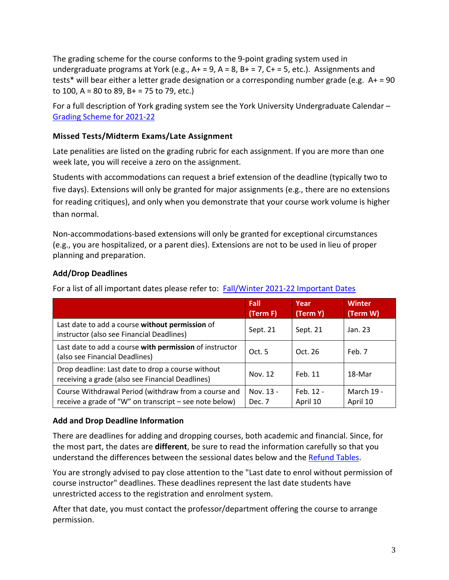The grading scheme for the course conforms to the 9-point grading system used in undergraduate programs at York (e.g.,  $A+ = 9$ ,  $A = 8$ ,  $B+ = 7$ ,  $C+ = 5$ , etc.). Assignments and tests\* will bear either a letter grade designation or a corresponding number grade (e.g. A+ = 90 to 100, A = 80 to 89, B + = 75 to 79, etc.)

For a full description of York grading system see the York University Undergraduate Calendar – Grading Scheme for 2021-22

### **Missed Tests/Midterm Exams/Late Assignment**

Late penalities are listed on the grading rubric for each assignment. If you are more than one week late, you will receive a zero on the assignment.

Students with accommodations can request a brief extension of the deadline (typically two to five days). Extensions will only be granted for major assignments (e.g., there are no extensions for reading critiques), and only when you demonstrate that your course work volume is higher than normal.

Non-accommodations-based extensions will only be granted for exceptional circumstances (e.g., you are hospitalized, or a parent dies). Extensions are not to be used in lieu of proper planning and preparation.

# **Add/Drop Deadlines**

For a list of all important dates please refer to: Fall/Winter 2021-22 Important Dates

|                                                                                                                | Fall<br>(Term F)    | Year<br>(Term Y)      | <b>Winter</b><br>(Term W)     |
|----------------------------------------------------------------------------------------------------------------|---------------------|-----------------------|-------------------------------|
| Last date to add a course without permission of<br>instructor (also see Financial Deadlines)                   | Sept. 21            | Sept. 21              | Jan. 23                       |
| Last date to add a course with permission of instructor<br>(also see Financial Deadlines)                      | Oct.5               | Oct. $26$             | Feb. 7                        |
| Drop deadline: Last date to drop a course without<br>receiving a grade (also see Financial Deadlines)          | Nov. 12             | Feb. 11               | 18-Mar                        |
| Course Withdrawal Period (withdraw from a course and<br>receive a grade of "W" on transcript – see note below) | Nov. 13 -<br>Dec. 7 | Feb. 12 -<br>April 10 | <b>March 19 -</b><br>April 10 |

### **Add and Drop Deadline Information**

There are deadlines for adding and dropping courses, both academic and financial. Since, for the most part, the dates are **different**, be sure to read the information carefully so that you understand the differences between the sessional dates below and the Refund Tables.

You are strongly advised to pay close attention to the "Last date to enrol without permission of course instructor" deadlines. These deadlines represent the last date students have unrestricted access to the registration and enrolment system.

After that date, you must contact the professor/department offering the course to arrange permission.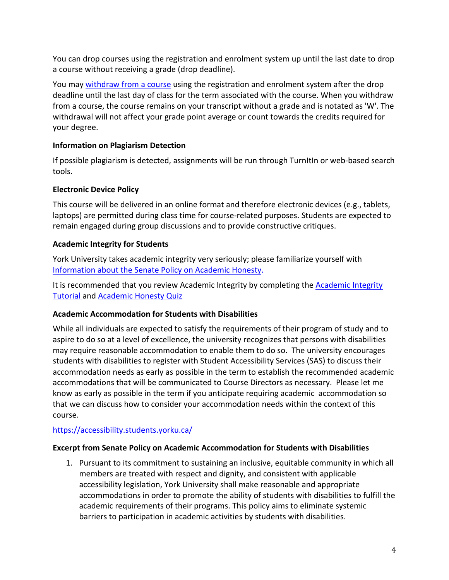You can drop courses using the registration and enrolment system up until the last date to drop a course without receiving a grade (drop deadline).

You may withdraw from a course using the registration and enrolment system after the drop deadline until the last day of class for the term associated with the course. When you withdraw from a course, the course remains on your transcript without a grade and is notated as 'W'. The withdrawal will not affect your grade point average or count towards the credits required for your degree.

# **Information on Plagiarism Detection**

If possible plagiarism is detected, assignments will be run through TurnItIn or web-based search tools.

# **Electronic Device Policy**

This course will be delivered in an online format and therefore electronic devices (e.g., tablets, laptops) are permitted during class time for course-related purposes. Students are expected to remain engaged during group discussions and to provide constructive critiques.

# **Academic Integrity for Students**

York University takes academic integrity very seriously; please familiarize yourself with Information about the Senate Policy on Academic Honesty.

It is recommended that you review Academic Integrity by completing the Academic Integrity Tutorial and Academic Honesty Quiz

### **Academic Accommodation for Students with Disabilities**

While all individuals are expected to satisfy the requirements of their program of study and to aspire to do so at a level of excellence, the university recognizes that persons with disabilities may require reasonable accommodation to enable them to do so. The university encourages students with disabilities to register with Student Accessibility Services (SAS) to discuss their accommodation needs as early as possible in the term to establish the recommended academic accommodations that will be communicated to Course Directors as necessary. Please let me know as early as possible in the term if you anticipate requiring academic accommodation so that we can discuss how to consider your accommodation needs within the context of this course.

# https://accessibility.students.yorku.ca/

### **Excerpt from Senate Policy on Academic Accommodation for Students with Disabilities**

1. Pursuant to its commitment to sustaining an inclusive, equitable community in which all members are treated with respect and dignity, and consistent with applicable accessibility legislation, York University shall make reasonable and appropriate accommodations in order to promote the ability of students with disabilities to fulfill the academic requirements of their programs. This policy aims to eliminate systemic barriers to participation in academic activities by students with disabilities.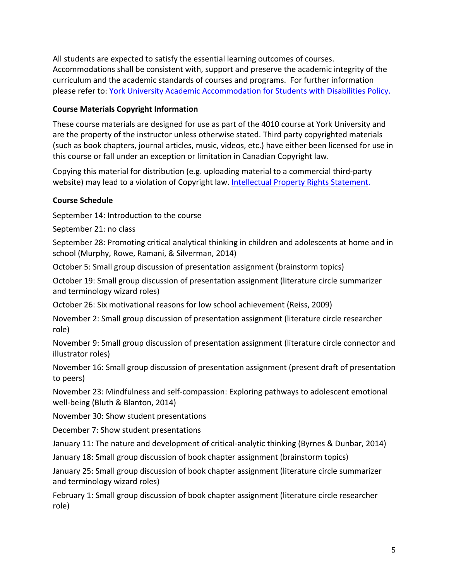All students are expected to satisfy the essential learning outcomes of courses. Accommodations shall be consistent with, support and preserve the academic integrity of the curriculum and the academic standards of courses and programs. For further information please refer to: York University Academic Accommodation for Students with Disabilities Policy.

# **Course Materials Copyright Information**

These course materials are designed for use as part of the 4010 course at York University and are the property of the instructor unless otherwise stated. Third party copyrighted materials (such as book chapters, journal articles, music, videos, etc.) have either been licensed for use in this course or fall under an exception or limitation in Canadian Copyright law.

Copying this material for distribution (e.g. uploading material to a commercial third-party website) may lead to a violation of Copyright law. Intellectual Property Rights Statement.

# **Course Schedule**

September 14: Introduction to the course

September 21: no class

September 28: Promoting critical analytical thinking in children and adolescents at home and in school (Murphy, Rowe, Ramani, & Silverman, 2014)

October 5: Small group discussion of presentation assignment (brainstorm topics)

October 19: Small group discussion of presentation assignment (literature circle summarizer and terminology wizard roles)

October 26: Six motivational reasons for low school achievement (Reiss, 2009)

November 2: Small group discussion of presentation assignment (literature circle researcher role)

November 9: Small group discussion of presentation assignment (literature circle connector and illustrator roles)

November 16: Small group discussion of presentation assignment (present draft of presentation to peers)

November 23: Mindfulness and self-compassion: Exploring pathways to adolescent emotional well-being (Bluth & Blanton, 2014)

November 30: Show student presentations

December 7: Show student presentations

January 11: The nature and development of critical-analytic thinking (Byrnes & Dunbar, 2014)

January 18: Small group discussion of book chapter assignment (brainstorm topics)

January 25: Small group discussion of book chapter assignment (literature circle summarizer and terminology wizard roles)

February 1: Small group discussion of book chapter assignment (literature circle researcher role)